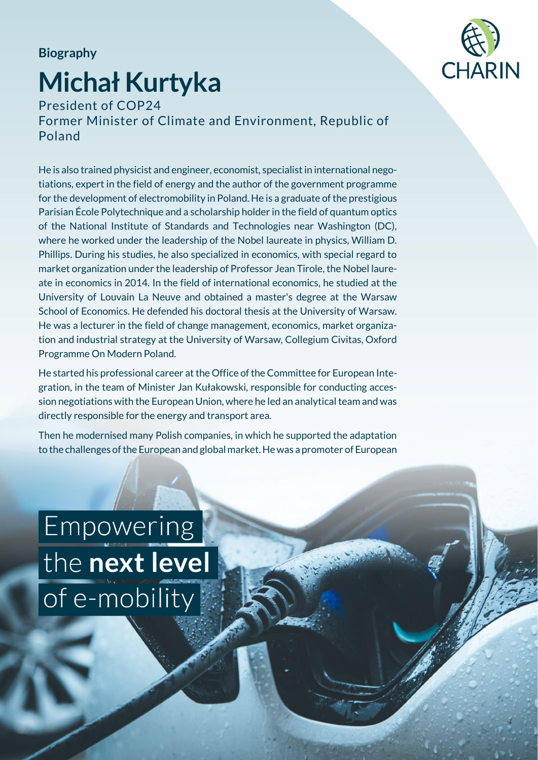## **Biography**

## **Michał Kurtyka**



President of COP24 Former Minister of Climate and Environment, Republic of Poland

He is also trained physicist and engineer, economist, specialist in international negotiations, expert in the field of energy and the author of the government programme for the development of electromobility in Poland. He is a graduate of the prestigious Parisian École Polytechnique and a scholarship holder in the field of quantum optics of the National Institute of Standards and Technologies near Washington (DC), where he worked under the leadership of the Nobel laureate in physics, William D. Phillips. During his studies, he also specialized in economics, with special regard to market organization under the leadership of Professor Jean Tirole, the Nobel laureate in economics in 2014. In the field of international economics, he studied at the University of Louvain La Neuve and obtained a master's degree at the Warsaw School of Economics. He defended his doctoral thesis at the University of Warsaw. He was a lecturer in the field of change management, economics, market organization and industrial strategy at the University of Warsaw, Collegium Civitas, Oxford Programme On Modern Poland.

He started his professional career at the Office of the Committee for European Integration, in the team of Minister Jan Kułakowski, responsible for conducting accession negotiations with the European Union, where he led an analytical team and was directly responsible for the energy and transport area.

Then he modernised many Polish companies, in which he supported the adaptation to the challenges of the European and global market. He was a promoter of European

**Empowering** the next level of e-mobility